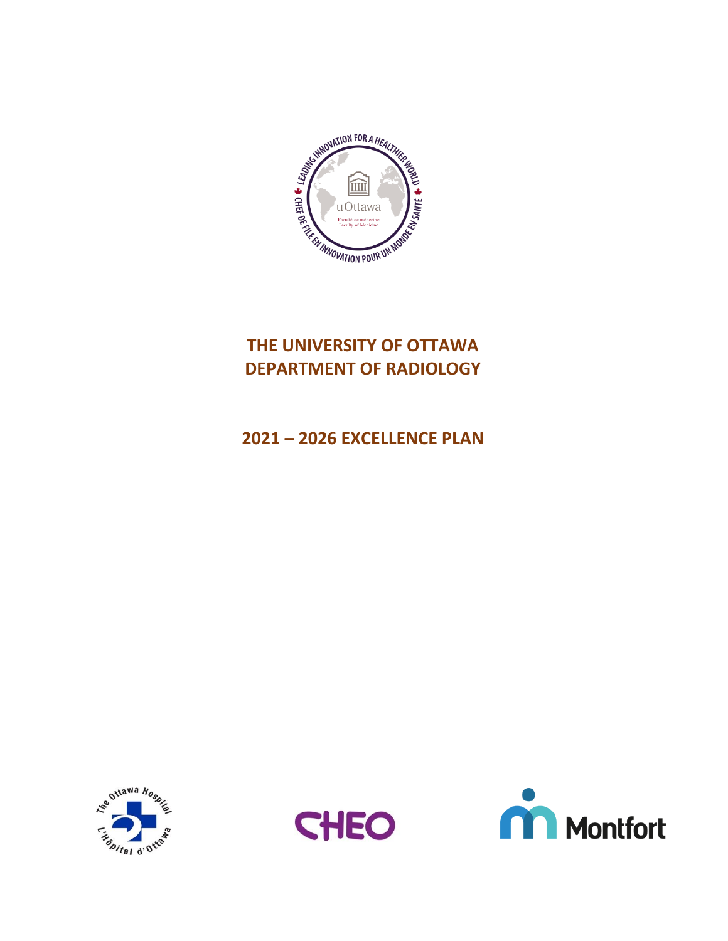

# **THE UNIVERSITY OF OTTAWA DEPARTMENT OF RADIOLOGY**

# **2021 – 2026 EXCELLENCE PLAN**





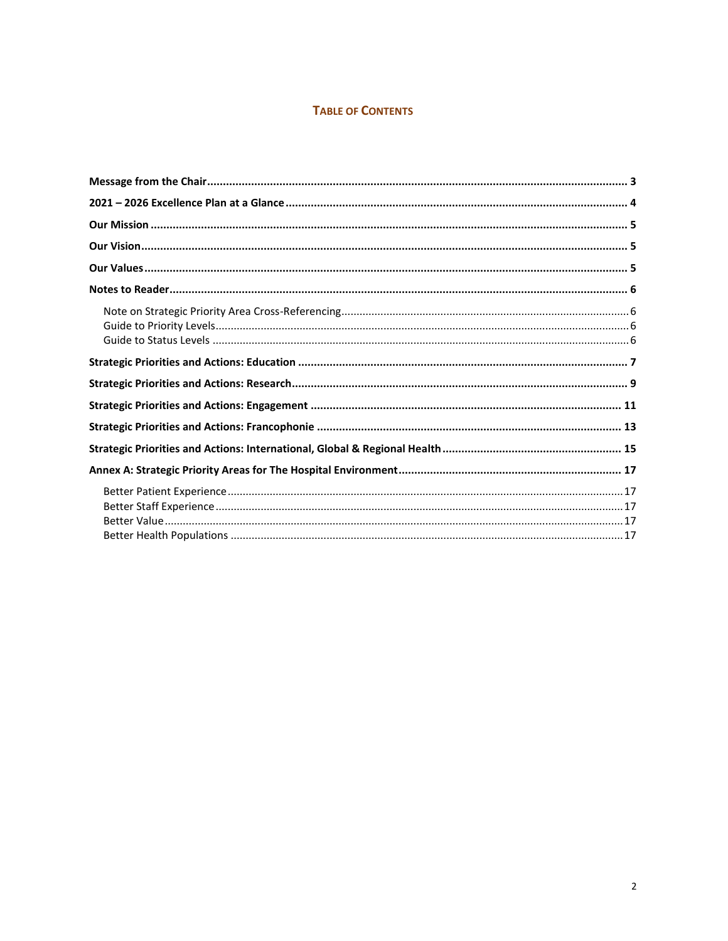#### **TABLE OF CONTENTS**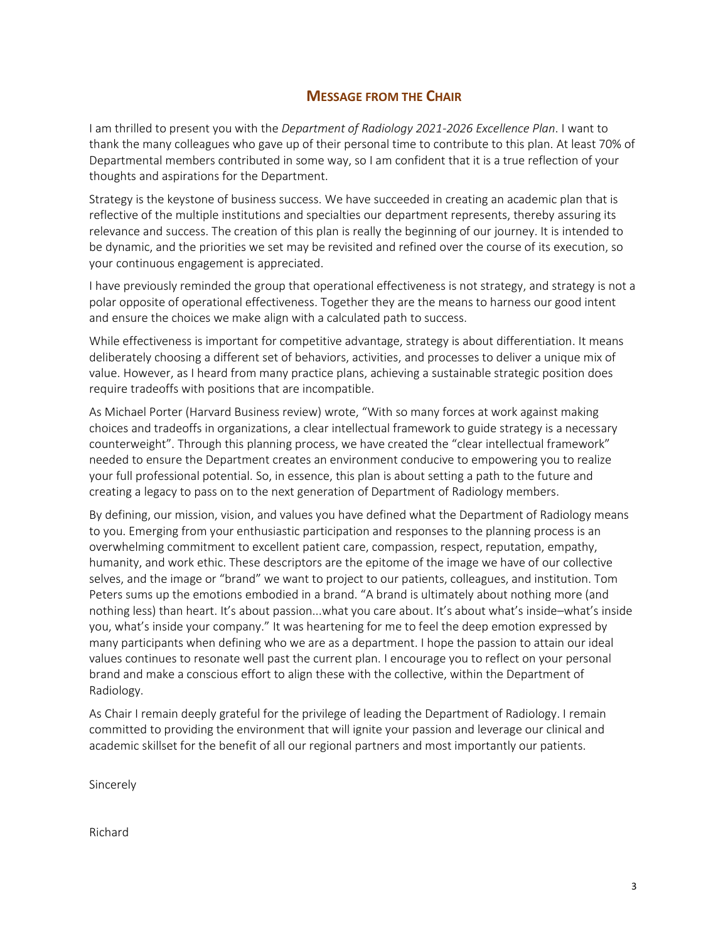### **MESSAGE FROM THE CHAIR**

<span id="page-2-0"></span>I am thrilled to present you with the *Department of Radiology 2021-2026 Excellence Plan*. I want to thank the many colleagues who gave up of their personal time to contribute to this plan. At least 70% of Departmental members contributed in some way, so I am confident that it is a true reflection of your thoughts and aspirations for the Department.

Strategy is the keystone of business success. We have succeeded in creating an academic plan that is reflective of the multiple institutions and specialties our department represents, thereby assuring its relevance and success. The creation of this plan is really the beginning of our journey. It is intended to be dynamic, and the priorities we set may be revisited and refined over the course of its execution, so your continuous engagement is appreciated.

I have previously reminded the group that operational effectiveness is not strategy, and strategy is not a polar opposite of operational effectiveness. Together they are the means to harness our good intent and ensure the choices we make align with a calculated path to success.

While effectiveness is important for competitive advantage, strategy is about differentiation. It means deliberately choosing a different set of behaviors, activities, and processes to deliver a unique mix of value. However, as I heard from many practice plans, achieving a sustainable strategic position does require tradeoffs with positions that are incompatible.

As Michael Porter (Harvard Business review) wrote, "With so many forces at work against making choices and tradeoffs in organizations, a clear intellectual framework to guide strategy is a necessary counterweight". Through this planning process, we have created the "clear intellectual framework" needed to ensure the Department creates an environment conducive to empowering you to realize your full professional potential. So, in essence, this plan is about setting a path to the future and creating a legacy to pass on to the next generation of Department of Radiology members.

By defining, our mission, vision, and values you have defined what the Department of Radiology means to you. Emerging from your enthusiastic participation and responses to the planning process is an overwhelming commitment to excellent patient care, compassion, respect, reputation, empathy, humanity, and work ethic. These descriptors are the epitome of the image we have of our collective selves, and the image or "brand" we want to project to our patients, colleagues, and institution. Tom Peters sums up the emotions embodied in a brand. "A brand is ultimately about nothing more (and nothing less) than heart. It's about passion...what you care about. It's about what's inside–what's inside you, what's inside your company." It was heartening for me to feel the deep emotion expressed by many participants when defining who we are as a department. I hope the passion to attain our ideal values continues to resonate well past the current plan. I encourage you to reflect on your personal brand and make a conscious effort to align these with the collective, within the Department of Radiology.

As Chair I remain deeply grateful for the privilege of leading the Department of Radiology. I remain committed to providing the environment that will ignite your passion and leverage our clinical and academic skillset for the benefit of all our regional partners and most importantly our patients.

Sincerely

Richard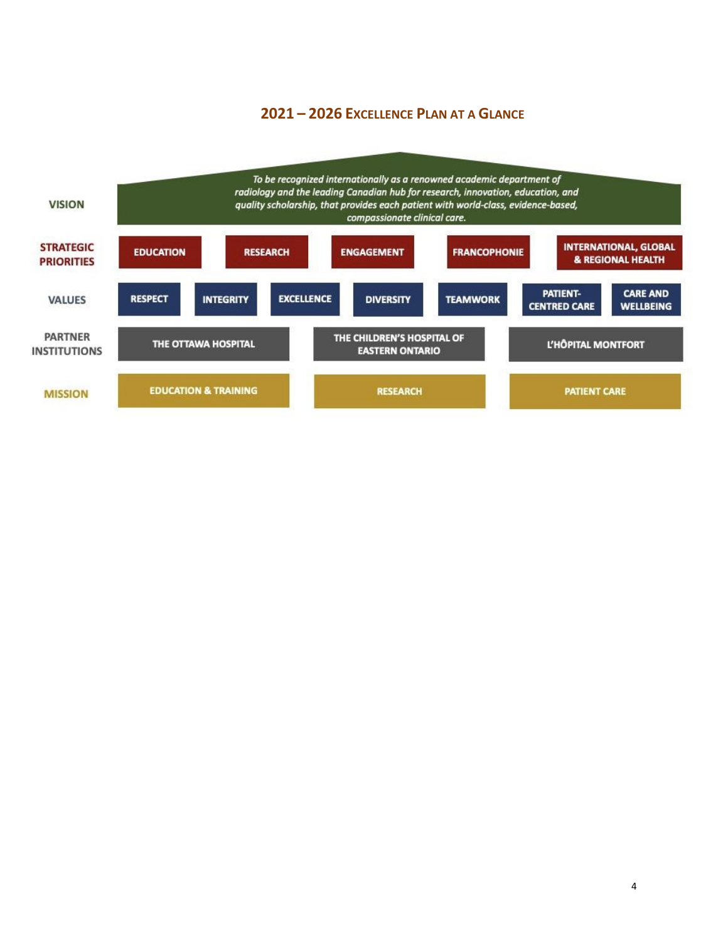### <span id="page-3-0"></span>**– 2026 EXCELLENCE PLAN AT A GLANCE**

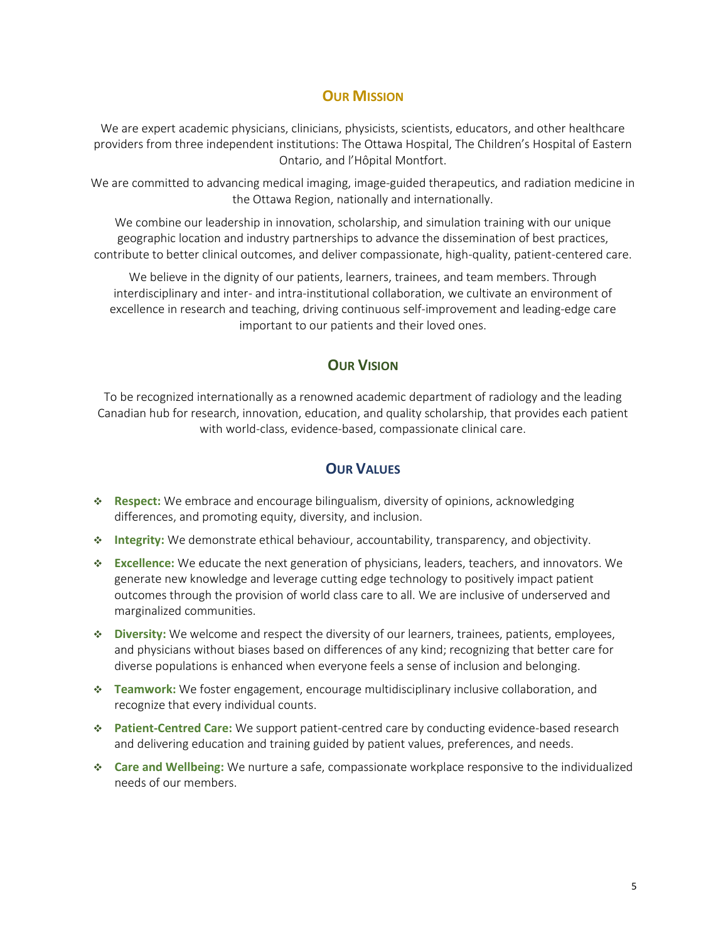## **OUR MISSION**

<span id="page-4-0"></span>We are expert academic physicians, clinicians, physicists, scientists, educators, and other healthcare providers from three independent institutions: The Ottawa Hospital, The Children's Hospital of Eastern Ontario, and l'Hôpital Montfort.

We are committed to advancing medical imaging, image-guided therapeutics, and radiation medicine in the Ottawa Region, nationally and internationally.

We combine our leadership in innovation, scholarship, and simulation training with our unique geographic location and industry partnerships to advance the dissemination of best practices, contribute to better clinical outcomes, and deliver compassionate, high-quality, patient-centered care.

We believe in the dignity of our patients, learners, trainees, and team members. Through interdisciplinary and inter- and intra-institutional collaboration, we cultivate an environment of excellence in research and teaching, driving continuous self-improvement and leading-edge care important to our patients and their loved ones.

### **OUR VISION**

<span id="page-4-1"></span>To be recognized internationally as a renowned academic department of radiology and the leading Canadian hub for research, innovation, education, and quality scholarship, that provides each patient with world-class, evidence-based, compassionate clinical care.

### **OUR VALUES**

- <span id="page-4-2"></span>❖ **Respect:** We embrace and encourage bilingualism, diversity of opinions, acknowledging differences, and promoting equity, diversity, and inclusion.
- ❖ **Integrity:** We demonstrate ethical behaviour, accountability, transparency, and objectivity.
- ❖ **Excellence:** We educate the next generation of physicians, leaders, teachers, and innovators. We generate new knowledge and leverage cutting edge technology to positively impact patient outcomes through the provision of world class care to all. We are inclusive of underserved and marginalized communities.
- ❖ **Diversity:** We welcome and respect the diversity of our learners, trainees, patients, employees, and physicians without biases based on differences of any kind; recognizing that better care for diverse populations is enhanced when everyone feels a sense of inclusion and belonging.
- ❖ **Teamwork:** We foster engagement, encourage multidisciplinary inclusive collaboration, and recognize that every individual counts.
- ❖ **Patient-Centred Care:** We support patient-centred care by conducting evidence-based research and delivering education and training guided by patient values, preferences, and needs.
- ❖ **Care and Wellbeing:** We nurture a safe, compassionate workplace responsive to the individualized needs of our members.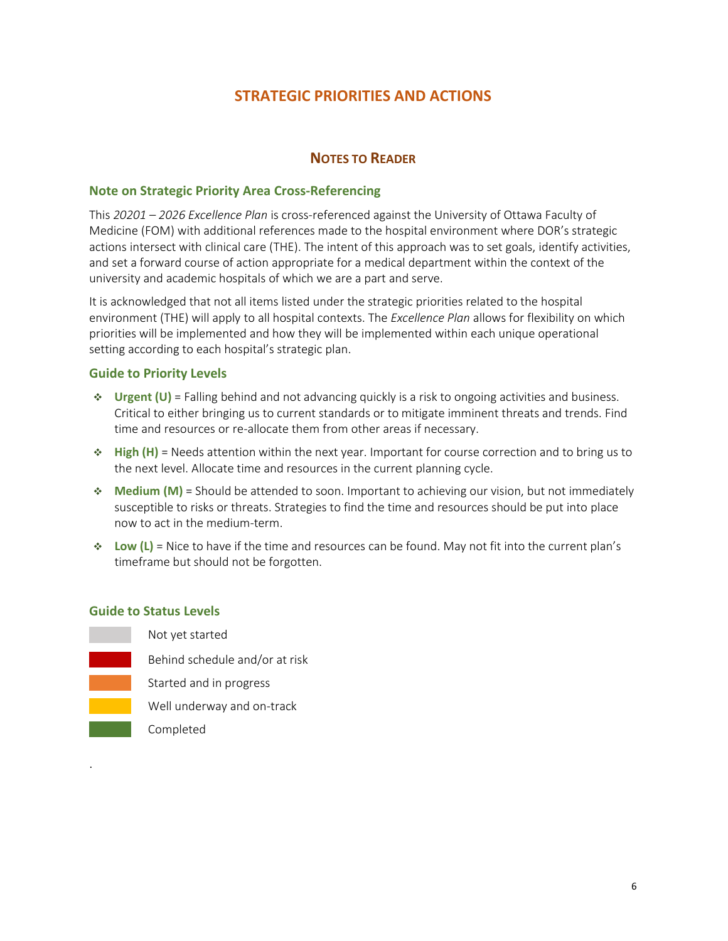## **STRATEGIC PRIORITIES AND ACTIONS**

### **NOTES TO READER**

#### <span id="page-5-1"></span><span id="page-5-0"></span>**Note on Strategic Priority Area Cross-Referencing**

This *20201 – 2026 Excellence Plan* is cross-referenced against the University of Ottawa Faculty of Medicine (FOM) with additional references made to the hospital environment where DOR's strategic actions intersect with clinical care (THE). The intent of this approach was to set goals, identify activities, and set a forward course of action appropriate for a medical department within the context of the university and academic hospitals of which we are a part and serve.

It is acknowledged that not all items listed under the strategic priorities related to the hospital environment (THE) will apply to all hospital contexts. The *Excellence Plan* allows for flexibility on which priorities will be implemented and how they will be implemented within each unique operational setting according to each hospital's strategic plan.

#### <span id="page-5-2"></span>**Guide to Priority Levels**

- ❖ **Urgent (U)** = Falling behind and not advancing quickly is a risk to ongoing activities and business. Critical to either bringing us to current standards or to mitigate imminent threats and trends. Find time and resources or re-allocate them from other areas if necessary.
- ❖ **High (H)** = Needs attention within the next year. Important for course correction and to bring us to the next level. Allocate time and resources in the current planning cycle.
- ❖ **Medium (M)** = Should be attended to soon. Important to achieving our vision, but not immediately susceptible to risks or threats. Strategies to find the time and resources should be put into place now to act in the medium-term.
- ❖ **Low (L)** = Nice to have if the time and resources can be found. May not fit into the current plan's timeframe but should not be forgotten.

#### <span id="page-5-3"></span>**Guide to Status Levels**

.

| Not yet started                |
|--------------------------------|
| Behind schedule and/or at risk |
| Started and in progress        |
| Well underway and on-track     |
| Completed                      |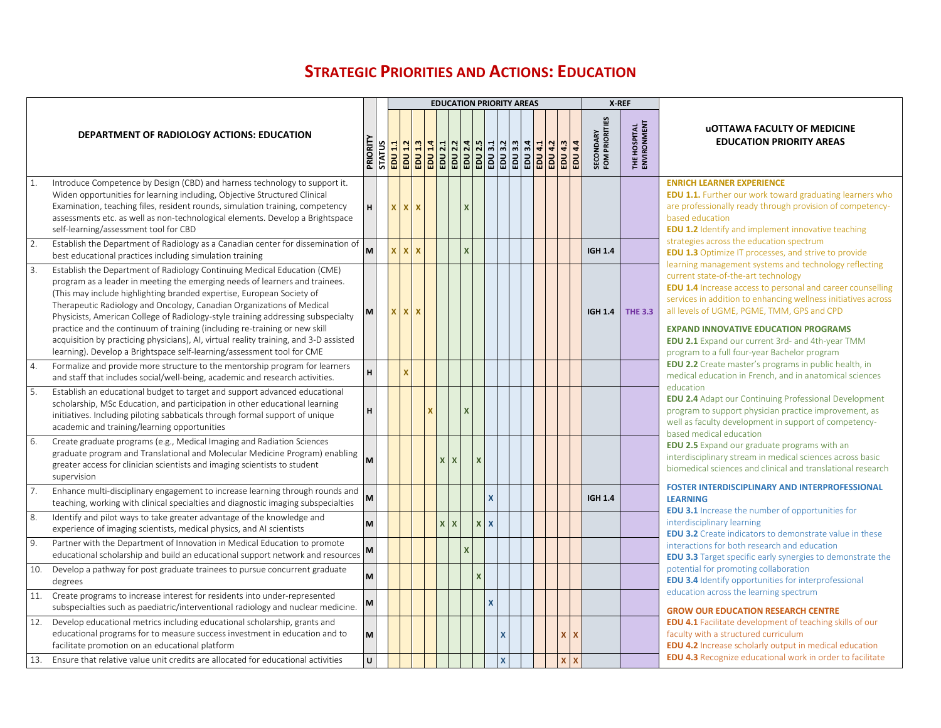## **STRATEGIC PRIORITIES AND ACTIONS: EDUCATION**

<span id="page-6-0"></span>

|     |                                                                                                                                                                                                                                                                                                                                                                                                                                                                                                                                                                                                                                                |          |              |            |             |              |                |                           |                         |              | <b>EDUCATION PRIORITY AREAS</b> |  |           | X-REF                              |                             |                                                                                                                                                                                                                                                                                                                                                                                                                                            |
|-----|------------------------------------------------------------------------------------------------------------------------------------------------------------------------------------------------------------------------------------------------------------------------------------------------------------------------------------------------------------------------------------------------------------------------------------------------------------------------------------------------------------------------------------------------------------------------------------------------------------------------------------------------|----------|--------------|------------|-------------|--------------|----------------|---------------------------|-------------------------|--------------|---------------------------------|--|-----------|------------------------------------|-----------------------------|--------------------------------------------------------------------------------------------------------------------------------------------------------------------------------------------------------------------------------------------------------------------------------------------------------------------------------------------------------------------------------------------------------------------------------------------|
|     | <b>DEPARTMENT OF RADIOLOGY ACTIONS: EDUCATION</b>                                                                                                                                                                                                                                                                                                                                                                                                                                                                                                                                                                                              |          |              |            |             |              |                |                           |                         |              |                                 |  | 4.4<br>BU | <b>SECONDARY</b><br>FOM PRIORITIES | THE HOSPITAL<br>ENVIRONMENT | <b>UOTTAWA FACULTY OF MEDICINE</b><br><b>EDUCATION PRIORITY AREAS</b>                                                                                                                                                                                                                                                                                                                                                                      |
| 1.  | Introduce Competence by Design (CBD) and harness technology to support it.<br>Widen opportunities for learning including, Objective Structured Clinical<br>Examination, teaching files, resident rounds, simulation training, competency<br>assessments etc. as well as non-technological elements. Develop a Brightspace<br>self-learning/assessment tool for CBD                                                                                                                                                                                                                                                                             | H        | <b>x</b> x x |            |             |              |                | $\mathbf{x}$              |                         |              |                                 |  |           |                                    |                             | <b>ENRICH LEARNER EXPERIENCE</b><br><b>EDU 1.1.</b> Further our work toward graduating learners who<br>are professionally ready through provision of competency-<br>based education<br><b>EDU 1.2</b> Identify and implement innovative teaching                                                                                                                                                                                           |
| 2.  | Establish the Department of Radiology as a Canadian center for dissemination of<br>best educational practices including simulation training                                                                                                                                                                                                                                                                                                                                                                                                                                                                                                    | M        | <b>x</b>     | $x \mid x$ |             |              |                | $\boldsymbol{\mathsf{x}}$ |                         |              |                                 |  |           | <b>IGH 1.4</b>                     |                             | strategies across the education spectrum<br><b>EDU 1.3</b> Optimize IT processes, and strive to provide                                                                                                                                                                                                                                                                                                                                    |
| 3.  | Establish the Department of Radiology Continuing Medical Education (CME)<br>program as a leader in meeting the emerging needs of learners and trainees.<br>(This may include highlighting branded expertise, European Society of<br>Therapeutic Radiology and Oncology, Canadian Organizations of Medical<br>Physicists, American College of Radiology-style training addressing subspecialty<br>practice and the continuum of training (including re-training or new skill<br>acquisition by practicing physicians), AI, virtual reality training, and 3-D assisted<br>learning). Develop a Brightspace self-learning/assessment tool for CME | <b>M</b> | x x          |            | $\mathbf x$ |              |                |                           |                         |              |                                 |  |           | <b>IGH 1.4</b>                     | <b>THE 3.3</b>              | learning management systems and technology reflecting<br>current state-of-the-art technology<br><b>EDU 1.4</b> Increase access to personal and career counselling<br>services in addition to enhancing wellness initiatives across<br>all levels of UGME, PGME, TMM, GPS and CPD<br><b>EXPAND INNOVATIVE EDUCATION PROGRAMS</b><br><b>EDU 2.1</b> Expand our current 3rd- and 4th-year TMM<br>program to a full four-year Bachelor program |
| 4.  | Formalize and provide more structure to the mentorship program for learners<br>and staff that includes social/well-being, academic and research activities.                                                                                                                                                                                                                                                                                                                                                                                                                                                                                    | H        |              | ×          |             |              |                |                           |                         |              |                                 |  |           |                                    |                             | <b>EDU 2.2</b> Create master's programs in public health, in<br>medical education in French, and in anatomical sciences                                                                                                                                                                                                                                                                                                                    |
| 5.  | Establish an educational budget to target and support advanced educational<br>scholarship, MSc Education, and participation in other educational learning<br>initiatives. Including piloting sabbaticals through formal support of unique<br>academic and training/learning opportunities                                                                                                                                                                                                                                                                                                                                                      | н        |              |            | x           |              |                | X                         |                         |              |                                 |  |           |                                    |                             | education<br><b>EDU 2.4</b> Adapt our Continuing Professional Development<br>program to support physician practice improvement, as<br>well as faculty development in support of competency-<br>based medical education                                                                                                                                                                                                                     |
| 6.  | Create graduate programs (e.g., Medical Imaging and Radiation Sciences<br>graduate program and Translational and Molecular Medicine Program) enabling<br>greater access for clinician scientists and imaging scientists to student<br>supervision                                                                                                                                                                                                                                                                                                                                                                                              | M        |              |            |             |              | $X$ $X$        |                           | $\overline{\mathbf{x}}$ |              |                                 |  |           |                                    |                             | <b>EDU 2.5</b> Expand our graduate programs with an<br>interdisciplinary stream in medical sciences across basic<br>biomedical sciences and clinical and translational research                                                                                                                                                                                                                                                            |
| 7.  | Enhance multi-disciplinary engagement to increase learning through rounds and<br>teaching, working with clinical specialties and diagnostic imaging subspecialties                                                                                                                                                                                                                                                                                                                                                                                                                                                                             | M        |              |            |             |              |                |                           |                         |              |                                 |  |           | <b>IGH 1.4</b>                     |                             | <b>FOSTER INTERDISCIPLINARY AND INTERPROFESSIONAL</b><br><b>LEARNING</b>                                                                                                                                                                                                                                                                                                                                                                   |
| 8.  | Identify and pilot ways to take greater advantage of the knowledge and<br>experience of imaging scientists, medical physics, and AI scientists                                                                                                                                                                                                                                                                                                                                                                                                                                                                                                 | <b>M</b> |              |            |             | $\mathbf{x}$ | $\pmb{\times}$ |                           | $\mathsf{x}$            | $\mathbf{x}$ |                                 |  |           |                                    |                             | <b>EDU 3.1</b> Increase the number of opportunities for<br>interdisciplinary learning<br><b>EDU 3.2</b> Create indicators to demonstrate value in these                                                                                                                                                                                                                                                                                    |
| 9.  | Partner with the Department of Innovation in Medical Education to promote<br>educational scholarship and build an educational support network and resources M                                                                                                                                                                                                                                                                                                                                                                                                                                                                                  |          |              |            |             |              |                |                           |                         |              |                                 |  |           |                                    |                             | interactions for both research and education<br><b>EDU 3.3</b> Target specific early synergies to demonstrate the                                                                                                                                                                                                                                                                                                                          |
| 10. | Develop a pathway for post graduate trainees to pursue concurrent graduate<br>degrees                                                                                                                                                                                                                                                                                                                                                                                                                                                                                                                                                          | M        |              |            |             |              |                |                           |                         |              |                                 |  |           |                                    |                             | potential for promoting collaboration<br><b>EDU 3.4 Identify opportunities for interprofessional</b>                                                                                                                                                                                                                                                                                                                                       |
|     | 11. Create programs to increase interest for residents into under-represented<br>subspecialties such as paediatric/interventional radiology and nuclear medicine.                                                                                                                                                                                                                                                                                                                                                                                                                                                                              | M        |              |            |             |              |                |                           |                         |              |                                 |  |           |                                    |                             | education across the learning spectrum<br><b>GROW OUR EDUCATION RESEARCH CENTRE</b>                                                                                                                                                                                                                                                                                                                                                        |
| 12. | Develop educational metrics including educational scholarship, grants and<br>educational programs for to measure success investment in education and to<br>facilitate promotion on an educational platform                                                                                                                                                                                                                                                                                                                                                                                                                                     | M        |              |            |             |              |                |                           |                         |              |                                 |  |           |                                    |                             | <b>EDU 4.1</b> Facilitate development of teaching skills of our<br>faculty with a structured curriculum<br><b>EDU 4.2</b> Increase scholarly output in medical education<br><b>EDU 4.3</b> Recognize educational work in order to facilitate                                                                                                                                                                                               |
| 13. | Ensure that relative value unit credits are allocated for educational activities                                                                                                                                                                                                                                                                                                                                                                                                                                                                                                                                                               | $\cup$   |              |            |             |              |                |                           |                         |              |                                 |  |           |                                    |                             |                                                                                                                                                                                                                                                                                                                                                                                                                                            |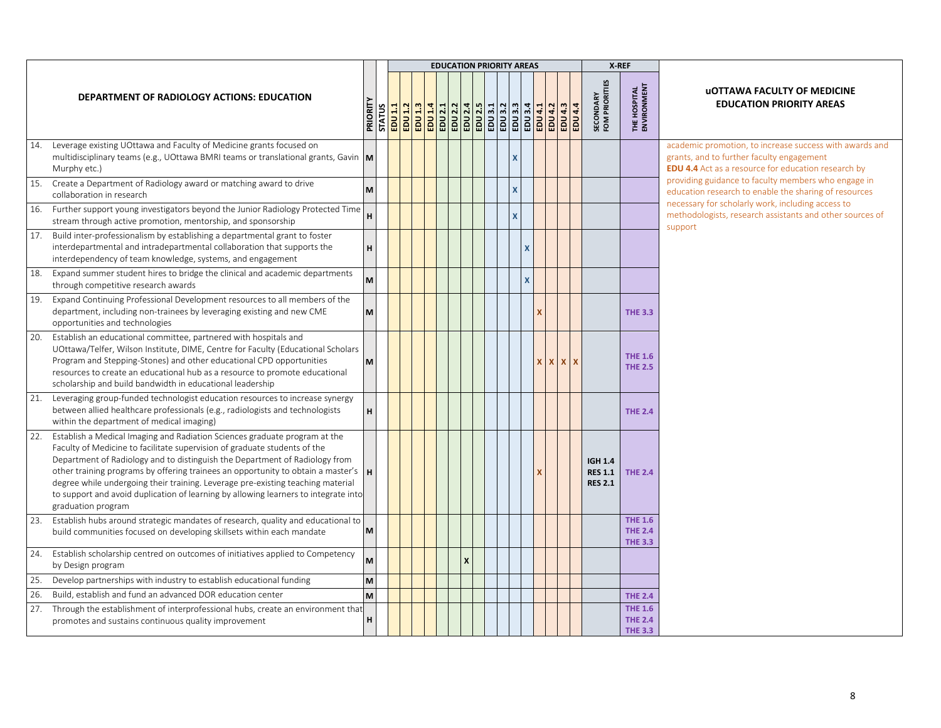|     |                                                                                                                                                                                                                                                                                                                                                                                                                                                                                                                            |         |                          |         |  |                           |  | <b>EDUCATION PRIORITY AREAS</b> |               |                |                    | X-REF                                              |                                                    |                                                                                                                                                                    |
|-----|----------------------------------------------------------------------------------------------------------------------------------------------------------------------------------------------------------------------------------------------------------------------------------------------------------------------------------------------------------------------------------------------------------------------------------------------------------------------------------------------------------------------------|---------|--------------------------|---------|--|---------------------------|--|---------------------------------|---------------|----------------|--------------------|----------------------------------------------------|----------------------------------------------------|--------------------------------------------------------------------------------------------------------------------------------------------------------------------|
|     | DEPARTMENT OF RADIOLOGY ACTIONS: EDUCATION                                                                                                                                                                                                                                                                                                                                                                                                                                                                                 | PRIORIT | <b>STATUS</b><br>EDU 1.1 | EDU 1.2 |  |                           |  |                                 | <b>EDU4.1</b> | <b>EDU 4.2</b> | EDU 4.3<br>EDU 4.4 | <b>SECONDARY</b><br>FOM PRIORITIES                 | THE HOSPITAL<br>ENVIRONMENT                        | <b>UOTTAWA FACULTY OF MEDICINE</b><br><b>EDUCATION PRIORITY AREAS</b>                                                                                              |
|     | 14. Leverage existing UOttawa and Faculty of Medicine grants focused on<br>multidisciplinary teams (e.g., UOttawa BMRI teams or translational grants, Gavin $\mathbf{M}$<br>Murphy etc.)                                                                                                                                                                                                                                                                                                                                   |         |                          |         |  |                           |  |                                 |               |                |                    |                                                    |                                                    | academic promotion, to increase success with awards and<br>grants, and to further faculty engagement<br><b>EDU 4.4</b> Act as a resource for education research by |
| 15. | Create a Department of Radiology award or matching award to drive<br>collaboration in research                                                                                                                                                                                                                                                                                                                                                                                                                             | M       |                          |         |  |                           |  |                                 |               |                |                    |                                                    |                                                    | providing guidance to faculty members who engage in<br>education research to enable the sharing of resources                                                       |
| 16. | Further support young investigators beyond the Junior Radiology Protected Time<br>stream through active promotion, mentorship, and sponsorship                                                                                                                                                                                                                                                                                                                                                                             |         |                          |         |  |                           |  |                                 |               |                |                    |                                                    |                                                    | necessary for scholarly work, including access to<br>methodologists, research assistants and other sources of<br>support                                           |
|     | 17. Build inter-professionalism by establishing a departmental grant to foster<br>interdepartmental and intradepartmental collaboration that supports the<br>interdependency of team knowledge, systems, and engagement                                                                                                                                                                                                                                                                                                    | н       |                          |         |  |                           |  | x                               |               |                |                    |                                                    |                                                    |                                                                                                                                                                    |
|     | 18. Expand summer student hires to bridge the clinical and academic departments<br>through competitive research awards                                                                                                                                                                                                                                                                                                                                                                                                     |         |                          |         |  |                           |  | x                               |               |                |                    |                                                    |                                                    |                                                                                                                                                                    |
|     | 19. Expand Continuing Professional Development resources to all members of the<br>department, including non-trainees by leveraging existing and new CME<br>opportunities and technologies                                                                                                                                                                                                                                                                                                                                  | M       |                          |         |  |                           |  |                                 |               |                |                    |                                                    | <b>THE 3.3</b>                                     |                                                                                                                                                                    |
| 20. | Establish an educational committee, partnered with hospitals and<br>UOttawa/Telfer, Wilson Institute, DIME, Centre for Faculty (Educational Scholars<br>Program and Stepping-Stones) and other educational CPD opportunities<br>resources to create an educational hub as a resource to promote educational<br>scholarship and build bandwidth in educational leadership                                                                                                                                                   | M       |                          |         |  |                           |  |                                 |               |                | <b>x</b> x x x     |                                                    | <b>THE 1.6</b><br><b>THE 2.5</b>                   |                                                                                                                                                                    |
|     | 21. Leveraging group-funded technologist education resources to increase synergy<br>between allied healthcare professionals (e.g., radiologists and technologists<br>within the department of medical imaging)                                                                                                                                                                                                                                                                                                             | н       |                          |         |  |                           |  |                                 |               |                |                    |                                                    | <b>THE 2.4</b>                                     |                                                                                                                                                                    |
| 22. | Establish a Medical Imaging and Radiation Sciences graduate program at the<br>Faculty of Medicine to facilitate supervision of graduate students of the<br>Department of Radiology and to distinguish the Department of Radiology from<br>other training programs by offering trainees an opportunity to obtain a master's<br>degree while undergoing their training. Leverage pre-existing teaching material<br>to support and avoid duplication of learning by allowing learners to integrate into<br>graduation program |         |                          |         |  |                           |  |                                 |               |                |                    | <b>IGH 1.4</b><br><b>RES 1.1</b><br><b>RES 2.1</b> | <b>THE 2.4</b>                                     |                                                                                                                                                                    |
| 23. | Establish hubs around strategic mandates of research, quality and educational to<br>build communities focused on developing skillsets within each mandate                                                                                                                                                                                                                                                                                                                                                                  | M       |                          |         |  |                           |  |                                 |               |                |                    |                                                    | <b>THE 1.6</b><br><b>THE 2.4</b><br><b>THE 3.3</b> |                                                                                                                                                                    |
| 24. | Establish scholarship centred on outcomes of initiatives applied to Competency<br>by Design program                                                                                                                                                                                                                                                                                                                                                                                                                        |         |                          |         |  | $\boldsymbol{\mathsf{x}}$ |  |                                 |               |                |                    |                                                    |                                                    |                                                                                                                                                                    |
| 25. | Develop partnerships with industry to establish educational funding                                                                                                                                                                                                                                                                                                                                                                                                                                                        | M       |                          |         |  |                           |  |                                 |               |                |                    |                                                    |                                                    |                                                                                                                                                                    |
| 26. | Build, establish and fund an advanced DOR education center                                                                                                                                                                                                                                                                                                                                                                                                                                                                 | M       |                          |         |  |                           |  |                                 |               |                |                    |                                                    | <b>THE 2.4</b>                                     |                                                                                                                                                                    |
|     | 27. Through the establishment of interprofessional hubs, create an environment that<br>promotes and sustains continuous quality improvement                                                                                                                                                                                                                                                                                                                                                                                | H       |                          |         |  |                           |  |                                 |               |                |                    |                                                    | <b>THE 1.6</b><br><b>THE 2.4</b><br><b>THE 3.3</b> |                                                                                                                                                                    |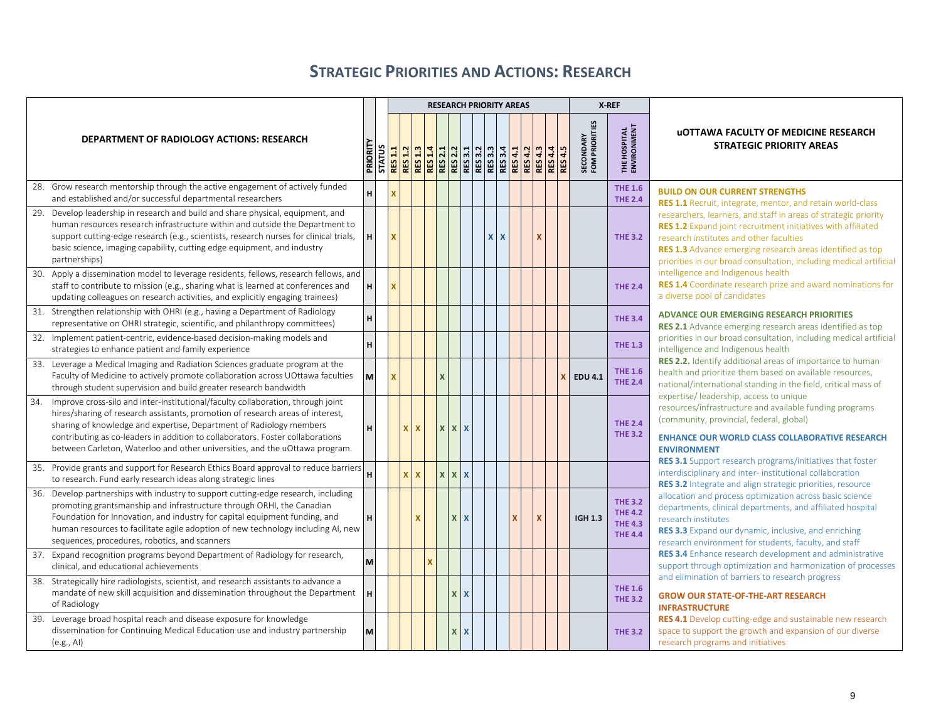## **STRATEGIC PRIORITIES AND ACTIONS: RESEARCH**

<span id="page-8-0"></span>

|                                                                                                                                                                                                                                                                                                                                                                                                                  |         |               |                         |              |              |                           |                           |              | <b>RESEARCH PRIORITY AREAS</b>                                                                                                                                                                                                                                                    |          |                           |                |                |                             | X-REF |                                                                      |                                                                                                                                                                                                                                                                                                               |
|------------------------------------------------------------------------------------------------------------------------------------------------------------------------------------------------------------------------------------------------------------------------------------------------------------------------------------------------------------------------------------------------------------------|---------|---------------|-------------------------|--------------|--------------|---------------------------|---------------------------|--------------|-----------------------------------------------------------------------------------------------------------------------------------------------------------------------------------------------------------------------------------------------------------------------------------|----------|---------------------------|----------------|----------------|-----------------------------|-------|----------------------------------------------------------------------|---------------------------------------------------------------------------------------------------------------------------------------------------------------------------------------------------------------------------------------------------------------------------------------------------------------|
| <b>DEPARTMENT OF RADIOLOGY ACTIONS: RESEARCH</b>                                                                                                                                                                                                                                                                                                                                                                 | PRIORIT | <b>STATUS</b> | <b>RES 1.1</b>          |              |              |                           |                           |              | <mark>ន្ត្រី ដូ ដូ ន</mark> ្ត្រី ដូ ន្ត្រី ន្ទ្រី ន្ទ្រី <mark>ន្ទ្រី ដូ ន្ទ្រី ដូ</mark><br>ស្ត <mark>្រី ន្ទ្រី ន្ទ្រី</mark> ន្ទ្រី ន្ទ្រី ន្ទ្រី ន្ទ្រី <mark>ន្ទ្រី ន្ទ្រី ន្ទ្រី</mark> ន្ទ្រី ន្ទ្រី<br>ស្ត្រី ន្ទ្រី ន្ទ្រី ន្ទ្រី ន្ទ្រី ន្ទ្រី ន្ទ្រី ន្ទ្រី ន្ទ្រី ន្ |          | <b>RES 4.3</b>            | <b>RES 4.4</b> | <b>RES 4.5</b> | SECONDARY<br>FOM PRIORITIES |       | THE HOSPITAL<br>ENVIRONMENT                                          | <b>UOTTAWA FACULTY OF MEDICINE RESEARCH</b><br><b>STRATEGIC PRIORITY AREAS</b>                                                                                                                                                                                                                                |
| 28. Grow research mentorship through the active engagement of actively funded<br>and established and/or successful departmental researchers                                                                                                                                                                                                                                                                      | н       |               | $\overline{\mathbf{x}}$ |              |              |                           |                           |              |                                                                                                                                                                                                                                                                                   |          |                           |                |                |                             |       | <b>THE 1.6</b><br><b>THE 2.4</b>                                     | <b>BUILD ON OUR CURRENT STRENGTHS</b><br>RES 1.1 Recruit, integrate, mentor, and retain world-class                                                                                                                                                                                                           |
| Develop leadership in research and build and share physical, equipment, and<br>29.<br>human resources research infrastructure within and outside the Department to<br>support cutting-edge research (e.g., scientists, research nurses for clinical trials,<br>basic science, imaging capability, cutting edge equipment, and industry<br>partnerships)                                                          | н       |               | $\mathbf{x}$            |              |              |                           |                           |              | $\mathbf{x}$<br>$\mathbf{x}$                                                                                                                                                                                                                                                      |          | $\boldsymbol{\mathsf{x}}$ |                |                |                             |       | <b>THE 3.2</b>                                                       | researchers, learners, and staff in areas of strategic priority<br>RES 1.2 Expand joint recruitment initiatives with affiliated<br>research institutes and other faculties<br>RES 1.3 Advance emerging research areas identified as top<br>priorities in our broad consultation, including medical artificial |
| 30. Apply a dissemination model to leverage residents, fellows, research fellows, and<br>staff to contribute to mission (e.g., sharing what is learned at conferences and<br>updating colleagues on research activities, and explicitly engaging trainees)                                                                                                                                                       | н       |               | $\mathbf{x}$            |              |              |                           |                           |              |                                                                                                                                                                                                                                                                                   |          |                           |                |                |                             |       | <b>THE 2.4</b>                                                       | intelligence and Indigenous health<br><b>RES 1.4</b> Coordinate research prize and award nominations for<br>a diverse pool of candidates                                                                                                                                                                      |
| 31. Strengthen relationship with OHRI (e.g., having a Department of Radiology<br>representative on OHRI strategic, scientific, and philanthropy committees)                                                                                                                                                                                                                                                      | н       |               |                         |              |              |                           |                           |              |                                                                                                                                                                                                                                                                                   |          |                           |                |                |                             |       | <b>THE 3.4</b>                                                       | <b>ADVANCE OUR EMERGING RESEARCH PRIORITIES</b><br>RES 2.1 Advance emerging research areas identified as top                                                                                                                                                                                                  |
| 32. Implement patient-centric, evidence-based decision-making models and<br>strategies to enhance patient and family experience                                                                                                                                                                                                                                                                                  | н       |               |                         |              |              |                           |                           |              |                                                                                                                                                                                                                                                                                   |          |                           |                |                |                             |       | <b>THE 1.3</b>                                                       | priorities in our broad consultation, including medical artificial<br>intelligence and Indigenous health                                                                                                                                                                                                      |
| 33. Leverage a Medical Imaging and Radiation Sciences graduate program at the<br>Faculty of Medicine to actively promote collaboration across UOttawa faculties<br>through student supervision and build greater research bandwidth                                                                                                                                                                              | M       |               | $\mathbf{x}$            |              |              | $\boldsymbol{\mathsf{x}}$ |                           |              |                                                                                                                                                                                                                                                                                   |          |                           |                |                | <b>EDU 4.1</b>              |       | <b>THE 1.6</b><br><b>THE 2.4</b>                                     | RES 2.2. Identify additional areas of importance to human<br>health and prioritize them based on available resources,<br>national/international standing in the field, critical mass of                                                                                                                       |
| Improve cross-silo and inter-institutional/faculty collaboration, through joint<br>34.<br>hires/sharing of research assistants, promotion of research areas of interest,<br>sharing of knowledge and expertise, Department of Radiology members<br>contributing as co-leaders in addition to collaborators. Foster collaborations<br>between Carleton, Waterloo and other universities, and the uOttawa program. | н       |               |                         | $\mathbf{x}$ | $\mathbf{x}$ |                           | <b>XXX</b>                |              |                                                                                                                                                                                                                                                                                   |          |                           |                |                |                             |       | <b>THE 2.4</b><br><b>THE 3.2</b>                                     | expertise/ leadership, access to unique<br>resources/infrastructure and available funding programs<br>(community, provincial, federal, global)<br><b>ENHANCE OUR WORLD CLASS COLLABORATIVE RESEARCH</b><br><b>ENVIRONMENT</b>                                                                                 |
| 35. Provide grants and support for Research Ethics Board approval to reduce barriers<br>to research. Fund early research ideas along strategic lines                                                                                                                                                                                                                                                             | н       |               |                         |              | $\mathbf{x}$ | $X$ $X$                   |                           |              |                                                                                                                                                                                                                                                                                   |          |                           |                |                |                             |       |                                                                      | <b>RES 3.1</b> Support research programs/initiatives that foster<br>interdisciplinary and inter-institutional collaboration<br><b>RES 3.2</b> Integrate and align strategic priorities, resource                                                                                                              |
| 36. Develop partnerships with industry to support cutting-edge research, including<br>promoting grantsmanship and infrastructure through ORHI, the Canadian<br>Foundation for Innovation, and industry for capital equipment funding, and<br>human resources to facilitate agile adoption of new technology including AI, new<br>sequences, procedures, robotics, and scanners                                   | н       |               |                         |              | $\mathbf{x}$ |                           | <b>XX</b>                 |              |                                                                                                                                                                                                                                                                                   | <b>X</b> | $\mathbf{x}$              |                |                | <b>IGH 1.3</b>              |       | <b>THE 3.2</b><br><b>THE 4.2</b><br><b>THE 4.3</b><br><b>THE 4.4</b> | allocation and process optimization across basic science<br>departments, clinical departments, and affiliated hospital<br>research institutes<br>RES 3.3 Expand our dynamic, inclusive, and enriching<br>research environment for students, faculty, and staff                                                |
| 37. Expand recognition programs beyond Department of Radiology for research,<br>clinical, and educational achievements                                                                                                                                                                                                                                                                                           | M       |               |                         |              |              |                           |                           |              |                                                                                                                                                                                                                                                                                   |          |                           |                |                |                             |       |                                                                      | <b>RES 3.4</b> Enhance research development and administrative<br>support through optimization and harmonization of processes                                                                                                                                                                                 |
| 38. Strategically hire radiologists, scientist, and research assistants to advance a<br>mandate of new skill acquisition and dissemination throughout the Department<br>of Radiology                                                                                                                                                                                                                             |         |               |                         |              |              |                           | $\boldsymbol{\mathsf{x}}$ | $\mathbf{X}$ |                                                                                                                                                                                                                                                                                   |          |                           |                |                |                             |       | <b>THE 1.6</b><br><b>THE 3.2</b>                                     | and elimination of barriers to research progress<br><b>GROW OUR STATE-OF-THE-ART RESEARCH</b><br><b>INFRASTRUCTURE</b>                                                                                                                                                                                        |
| 39. Leverage broad hospital reach and disease exposure for knowledge<br>dissemination for Continuing Medical Education use and industry partnership<br>(e.g., AI)                                                                                                                                                                                                                                                | M       |               |                         |              |              |                           | X                         | $\mathbf{x}$ |                                                                                                                                                                                                                                                                                   |          |                           |                |                |                             |       | <b>THE 3.2</b>                                                       | <b>RES 4.1</b> Develop cutting-edge and sustainable new research<br>space to support the growth and expansion of our diverse<br>research programs and initiatives                                                                                                                                             |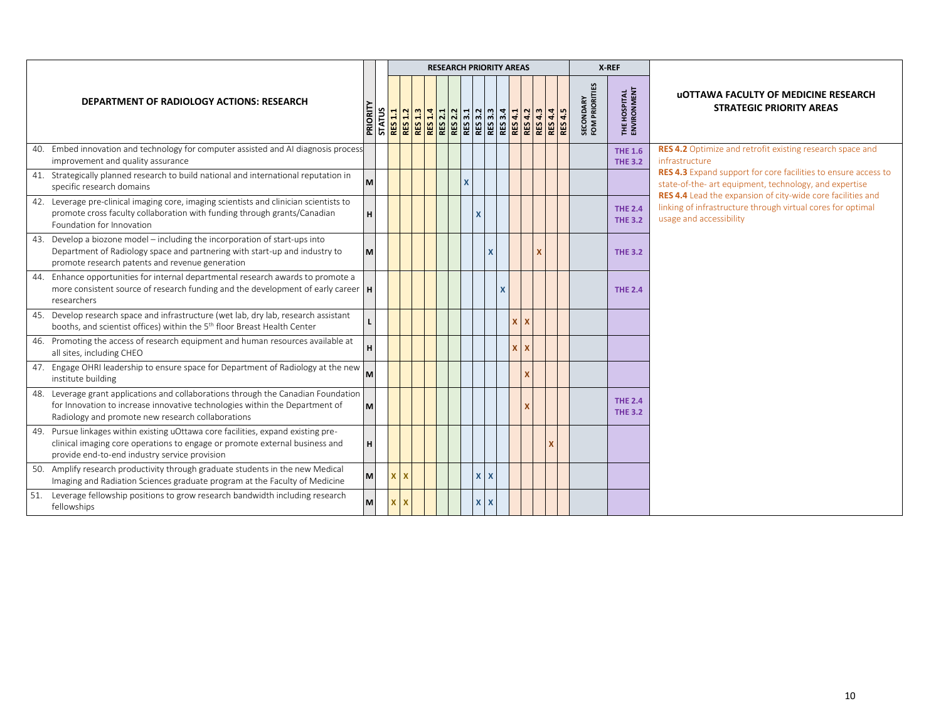|                                                                                                                                                                                                                        |   |              |              |  |              | <b>RESEARCH PRIORITY AREAS</b> |   |  |  |                                    | X-REF                              |                                                                                                                                                                                                |
|------------------------------------------------------------------------------------------------------------------------------------------------------------------------------------------------------------------------|---|--------------|--------------|--|--------------|--------------------------------|---|--|--|------------------------------------|------------------------------------|------------------------------------------------------------------------------------------------------------------------------------------------------------------------------------------------|
| DEPARTMENT OF RADIOLOGY ACTIONS: RESEARCH                                                                                                                                                                              |   |              |              |  |              |                                |   |  |  | <b>SECONDARY</b><br>FOM PRIORITIES | <b>THE HOSPITAL</b><br>ENVIRONMENT | <b>UOTTAWA FACULTY OF MEDICINE RESEARCH</b><br><b>STRATEGIC PRIORITY AREAS</b>                                                                                                                 |
| 40. Embed innovation and technology for computer assisted and AI diagnosis process<br>improvement and quality assurance                                                                                                |   |              |              |  |              |                                |   |  |  |                                    | <b>THE 1.6</b><br><b>THE 3.2</b>   | RES 4.2 Optimize and retrofit existing research space and<br>infrastructure                                                                                                                    |
| 41. Strategically planned research to build national and international reputation in<br>specific research domains                                                                                                      | M |              |              |  | $\mathsf{x}$ |                                |   |  |  |                                    |                                    | <b>RES 4.3</b> Expand support for core facilities to ensure access to<br>state-of-the- art equipment, technology, and expertise<br>RES 4.4 Lead the expansion of city-wide core facilities and |
| 42. Leverage pre-clinical imaging core, imaging scientists and clinician scientists to<br>promote cross faculty collaboration with funding through grants/Canadian<br>Foundation for Innovation                        | н |              |              |  |              | X                              |   |  |  |                                    | <b>THE 2.4</b><br><b>THE 3.2</b>   | linking of infrastructure through virtual cores for optimal<br>usage and accessibility                                                                                                         |
| 43. Develop a biozone model – including the incorporation of start-ups into<br>Department of Radiology space and partnering with start-up and industry to<br>promote research patents and revenue generation           | M |              |              |  |              |                                |   |  |  |                                    | <b>THE 3.2</b>                     |                                                                                                                                                                                                |
| 44. Enhance opportunities for internal departmental research awards to promote a<br>more consistent source of research funding and the development of early career  H<br>researchers                                   |   |              |              |  |              |                                |   |  |  |                                    | <b>THE 2.4</b>                     |                                                                                                                                                                                                |
| 45. Develop research space and infrastructure (wet lab, dry lab, research assistant<br>booths, and scientist offices) within the 5 <sup>th</sup> floor Breast Health Center                                            |   |              |              |  |              |                                |   |  |  |                                    |                                    |                                                                                                                                                                                                |
| 46. Promoting the access of research equipment and human resources available at<br>all sites, including CHEO                                                                                                           |   |              |              |  |              |                                |   |  |  |                                    |                                    |                                                                                                                                                                                                |
| 47. Engage OHRI leadership to ensure space for Department of Radiology at the new<br>institute building                                                                                                                | M |              |              |  |              |                                |   |  |  |                                    |                                    |                                                                                                                                                                                                |
| 48. Leverage grant applications and collaborations through the Canadian Foundation<br>for Innovation to increase innovative technologies within the Department of<br>Radiology and promote new research collaborations | M |              |              |  |              |                                |   |  |  |                                    | <b>THE 2.4</b><br><b>THE 3.2</b>   |                                                                                                                                                                                                |
| 49. Pursue linkages within existing uOttawa core facilities, expand existing pre-<br>clinical imaging core operations to engage or promote external business and<br>provide end-to-end industry service provision      | H |              |              |  |              |                                |   |  |  |                                    |                                    |                                                                                                                                                                                                |
| 50. Amplify research productivity through graduate students in the new Medical<br>Imaging and Radiation Sciences graduate program at the Faculty of Medicine                                                           | M |              | $\mathbf{x}$ |  |              | $\mathbf{x}$                   | X |  |  |                                    |                                    |                                                                                                                                                                                                |
| 51. Leverage fellowship positions to grow research bandwidth including research<br>fellowships                                                                                                                         | M | $\mathbf{X}$ | $\mathbf x$  |  |              | $X$ $X$                        |   |  |  |                                    |                                    |                                                                                                                                                                                                |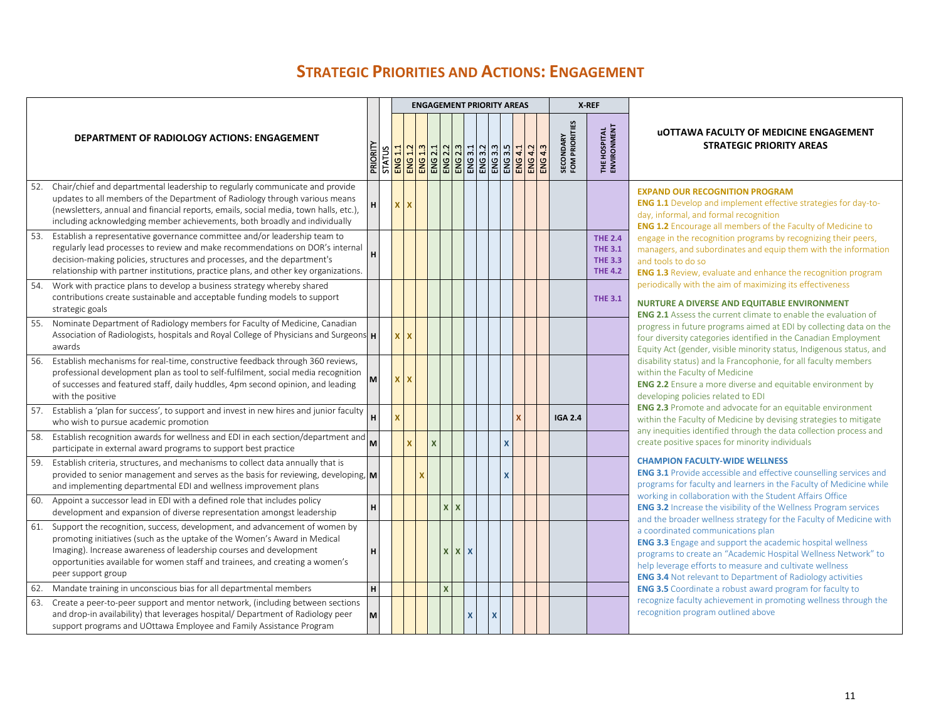## **STRATEGIC PRIORITIES AND ACTIONS: ENGAGEMENT**

<span id="page-10-0"></span>

|     |                                                                                                                                                                                                                                                                                                                                     |          |              |              |          |     | <b>ENGAGEMENT PRIORITY AREAS</b>                                                                                                                       |              |                           |         |         |                             | X-REF                                                                |                                                                                                                                                                                                                                                                                                        |
|-----|-------------------------------------------------------------------------------------------------------------------------------------------------------------------------------------------------------------------------------------------------------------------------------------------------------------------------------------|----------|--------------|--------------|----------|-----|--------------------------------------------------------------------------------------------------------------------------------------------------------|--------------|---------------------------|---------|---------|-----------------------------|----------------------------------------------------------------------|--------------------------------------------------------------------------------------------------------------------------------------------------------------------------------------------------------------------------------------------------------------------------------------------------------|
|     | <b>DEPARTMENT OF RADIOLOGY ACTIONS: ENGAGEMENT</b>                                                                                                                                                                                                                                                                                  |          |              |              |          |     | <u>ត្ត<br/>ក្រុង <mark>ន</mark>ុន ន</u> ុង និង និង និង និង និង<br><u>និង <mark>និ</mark>ង និង និង និង និង និង និង</u><br>ក្រុម និង និង និង និង និង និង |              |                           | ENG 4.1 | ENG 4.3 | SECONDARY<br>FOM PRIORITIES | THE HOSPITAL<br>ENVIRONMENT                                          | <b>UOTTAWA FACULTY OF MEDICINE ENGAGEMENT</b><br><b>STRATEGIC PRIORITY AREAS</b>                                                                                                                                                                                                                       |
| 52. | Chair/chief and departmental leadership to regularly communicate and provide<br>updates to all members of the Department of Radiology through various means<br>(newsletters, annual and financial reports, emails, social media, town halls, etc.),<br>including acknowledging member achievements, both broadly and individually   |          | $\times$     |              |          |     |                                                                                                                                                        |              |                           |         |         |                             |                                                                      | <b>EXPAND OUR RECOGNITION PROGRAM</b><br><b>ENG 1.1</b> Develop and implement effective strategies for day-to-<br>day, informal, and formal recognition<br><b>ENG 1.2</b> Encourage all members of the Faculty of Medicine to                                                                          |
| 53. | Establish a representative governance committee and/or leadership team to<br>regularly lead processes to review and make recommendations on DOR's internal<br>decision-making policies, structures and processes, and the department's<br>relationship with partner institutions, practice plans, and other key organizations.      |          |              |              |          |     |                                                                                                                                                        |              |                           |         |         |                             | <b>THE 2.4</b><br><b>THE 3.1</b><br><b>THE 3.3</b><br><b>THE 4.2</b> | engage in the recognition programs by recognizing their peers,<br>managers, and subordinates and equip them with the information<br>and tools to do so<br><b>ENG 1.3</b> Review, evaluate and enhance the recognition program                                                                          |
| 54. | Work with practice plans to develop a business strategy whereby shared<br>contributions create sustainable and acceptable funding models to support<br>strategic goals                                                                                                                                                              |          |              |              |          |     |                                                                                                                                                        |              |                           |         |         |                             | <b>THE 3.1</b>                                                       | periodically with the aim of maximizing its effectiveness<br><b>NURTURE A DIVERSE AND EQUITABLE ENVIRONMENT</b><br><b>ENG 2.1</b> Assess the current climate to enable the evaluation of                                                                                                               |
| 55. | Nominate Department of Radiology members for Faculty of Medicine, Canadian<br>Association of Radiologists, hospitals and Royal College of Physicians and Surgeons <b>H</b><br>awards                                                                                                                                                |          | $\mathbf{x}$ |              |          |     |                                                                                                                                                        |              |                           |         |         |                             |                                                                      | progress in future programs aimed at EDI by collecting data on the<br>four diversity categories identified in the Canadian Employment<br>Equity Act (gender, visible minority status, Indigenous status, and                                                                                           |
| 56. | Establish mechanisms for real-time, constructive feedback through 360 reviews,<br>professional development plan as tool to self-fulfilment, social media recognition<br>of successes and featured staff, daily huddles, 4pm second opinion, and leading<br>with the positive                                                        | <b>M</b> | $X$ $X$      |              |          |     |                                                                                                                                                        |              |                           |         |         |                             |                                                                      | disability status) and la Francophonie, for all faculty members<br>within the Faculty of Medicine<br><b>ENG 2.2</b> Ensure a more diverse and equitable environment by<br>developing policies related to EDI                                                                                           |
| 57. | Establish a 'plan for success', to support and invest in new hires and junior faculty<br>who wish to pursue academic promotion                                                                                                                                                                                                      |          |              |              |          |     |                                                                                                                                                        |              |                           |         |         | <b>IGA 2.4</b>              |                                                                      | <b>ENG 2.3</b> Promote and advocate for an equitable environment<br>within the Faculty of Medicine by devising strategies to mitigate<br>any inequities identified through the data collection process and                                                                                             |
| 58. | Establish recognition awards for wellness and EDI in each section/department and<br>participate in external award programs to support best practice                                                                                                                                                                                 | M        |              | $\mathbf{x}$ |          |     |                                                                                                                                                        |              | $\boldsymbol{\mathsf{x}}$ |         |         |                             |                                                                      | create positive spaces for minority individuals                                                                                                                                                                                                                                                        |
| 59. | Establish criteria, structures, and mechanisms to collect data annually that is<br>provided to senior management and serves as the basis for reviewing, developing, $\mathbf{M}$<br>and implementing departmental EDI and wellness improvement plans                                                                                |          |              |              |          |     |                                                                                                                                                        |              | X                         |         |         |                             |                                                                      | <b>CHAMPION FACULTY-WIDE WELLNESS</b><br><b>ENG 3.1</b> Provide accessible and effective counselling services and<br>programs for faculty and learners in the Faculty of Medicine while<br>working in collaboration with the Student Affairs Office                                                    |
| 60. | Appoint a successor lead in EDI with a defined role that includes policy<br>development and expansion of diverse representation amongst leadership                                                                                                                                                                                  |          |              |              | <b>X</b> | X   |                                                                                                                                                        |              |                           |         |         |                             |                                                                      | <b>ENG 3.2</b> Increase the visibility of the Wellness Program services<br>and the broader wellness strategy for the Faculty of Medicine with                                                                                                                                                          |
| 61. | Support the recognition, success, development, and advancement of women by<br>promoting initiatives (such as the uptake of the Women's Award in Medical<br>Imaging). Increase awareness of leadership courses and development<br>opportunities available for women staff and trainees, and creating a women's<br>peer support group |          |              |              |          | x x | $\mathbf{x}$                                                                                                                                           |              |                           |         |         |                             |                                                                      | a coordinated communications plan<br><b>ENG 3.3</b> Engage and support the academic hospital wellness<br>programs to create an "Academic Hospital Wellness Network" to<br>help leverage efforts to measure and cultivate wellness<br><b>ENG 3.4</b> Not relevant to Department of Radiology activities |
| 62. | Mandate training in unconscious bias for all departmental members                                                                                                                                                                                                                                                                   |          |              |              | X        |     |                                                                                                                                                        |              |                           |         |         |                             |                                                                      | <b>ENG 3.5</b> Coordinate a robust award program for faculty to                                                                                                                                                                                                                                        |
| 63. | Create a peer-to-peer support and mentor network, (including between sections<br>and drop-in availability) that leverages hospital/ Department of Radiology peer<br>support programs and UOttawa Employee and Family Assistance Program                                                                                             | M        |              |              |          |     | $\boldsymbol{\mathsf{x}}$                                                                                                                              | $\mathbf{x}$ |                           |         |         |                             |                                                                      | recognize faculty achievement in promoting wellness through the<br>recognition program outlined above                                                                                                                                                                                                  |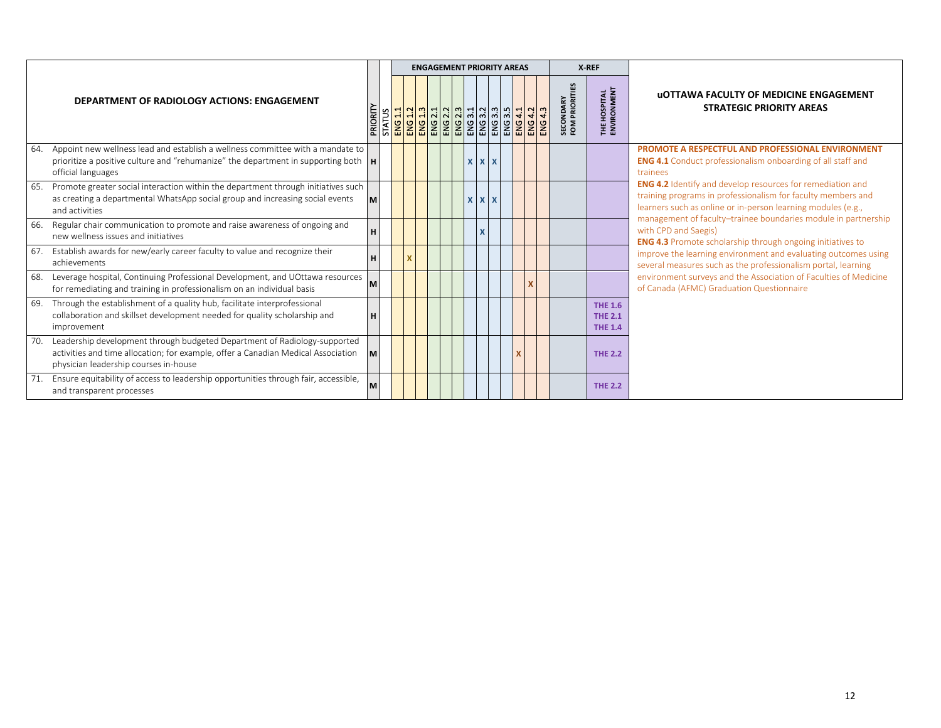|                                                                                                                                                                                                                |          |  |  |  | <b>ENGAGEMENT PRIORITY AREAS</b> |             |  |   |                                                                                                                                                                                              |                                    | X-REF                                              |                                                                                                                                                                                                   |
|----------------------------------------------------------------------------------------------------------------------------------------------------------------------------------------------------------------|----------|--|--|--|----------------------------------|-------------|--|---|----------------------------------------------------------------------------------------------------------------------------------------------------------------------------------------------|------------------------------------|----------------------------------------------------|---------------------------------------------------------------------------------------------------------------------------------------------------------------------------------------------------|
| DEPARTMENT OF RADIOLOGY ACTIONS: ENGAGEMENT                                                                                                                                                                    | PRIORITY |  |  |  |                                  |             |  |   | ្ត្រី <mark>នន្ត្រី ន</mark> ន្ត្រី នូវ នូវ និង និង និង និង និង និង និង<br>និង <mark>នាង នាង ទាំង ទាំង ទាំង ទាំង ទាំង ទាំង ទាំង</mark><br>នាង <mark>នាង ទាំង ទាំង ទាំង ទាំង ទាំង ទាំង</mark> | <b>SECONDARY</b><br>FOM PRIORITIES | <b>THE HOSPITAL</b><br>ENVIRONMENT                 | <b>UOTTAWA FACULTY OF MEDICINE ENGAGEMENT</b><br><b>STRATEGIC PRIORITY AREAS</b>                                                                                                                  |
| Appoint new wellness lead and establish a wellness committee with a mandate to<br>64.<br>prioritize a positive culture and "rehumanize" the department in supporting both $\mathbf{H}$<br>official languages   |          |  |  |  |                                  | $X$ $X$ $X$ |  |   |                                                                                                                                                                                              |                                    |                                                    | <b>PROMOTE A RESPECTFUL AND PROFESSIONAL ENVIRONMENT</b><br><b>ENG 4.1</b> Conduct professionalism onboarding of all staff and<br>trainees                                                        |
| Promote greater social interaction within the department through initiatives such<br>65.<br>as creating a departmental WhatsApp social group and increasing social events<br>and activities                    | M        |  |  |  |                                  | $X$ $X$ $X$ |  |   |                                                                                                                                                                                              |                                    |                                                    | <b>ENG 4.2</b> Identify and develop resources for remediation and<br>training programs in professionalism for faculty members and<br>learners such as online or in-person learning modules (e.g., |
| Regular chair communication to promote and raise awareness of ongoing and<br>66.<br>new wellness issues and initiatives                                                                                        | H        |  |  |  |                                  |             |  |   |                                                                                                                                                                                              |                                    |                                                    | management of faculty-trainee boundaries module in partnership<br>with CPD and Saegis)<br><b>ENG 4.3</b> Promote scholarship through ongoing initiatives to                                       |
| Establish awards for new/early career faculty to value and recognize their<br>67.<br>achievements                                                                                                              | H        |  |  |  |                                  |             |  |   |                                                                                                                                                                                              |                                    |                                                    | improve the learning environment and evaluating outcomes using<br>several measures such as the professionalism portal, learning                                                                   |
| Leverage hospital, Continuing Professional Development, and UOttawa resources<br>68.<br>for remediating and training in professionalism on an individual basis                                                 | M        |  |  |  |                                  |             |  |   |                                                                                                                                                                                              |                                    |                                                    | environment surveys and the Association of Faculties of Medicine<br>of Canada (AFMC) Graduation Questionnaire                                                                                     |
| Through the establishment of a quality hub, facilitate interprofessional<br>69.<br>collaboration and skillset development needed for quality scholarship and<br>improvement                                    | H        |  |  |  |                                  |             |  |   |                                                                                                                                                                                              |                                    | <b>THE 1.6</b><br><b>THE 2.1</b><br><b>THE 1.4</b> |                                                                                                                                                                                                   |
| Leadership development through budgeted Department of Radiology-supported<br>70.<br>activities and time allocation; for example, offer a Canadian Medical Association<br>physician leadership courses in-house | M        |  |  |  |                                  |             |  | x |                                                                                                                                                                                              |                                    | <b>THE 2.2</b>                                     |                                                                                                                                                                                                   |
| Ensure equitability of access to leadership opportunities through fair, accessible,<br>and transparent processes                                                                                               | M        |  |  |  |                                  |             |  |   |                                                                                                                                                                                              |                                    | <b>THE 2.2</b>                                     |                                                                                                                                                                                                   |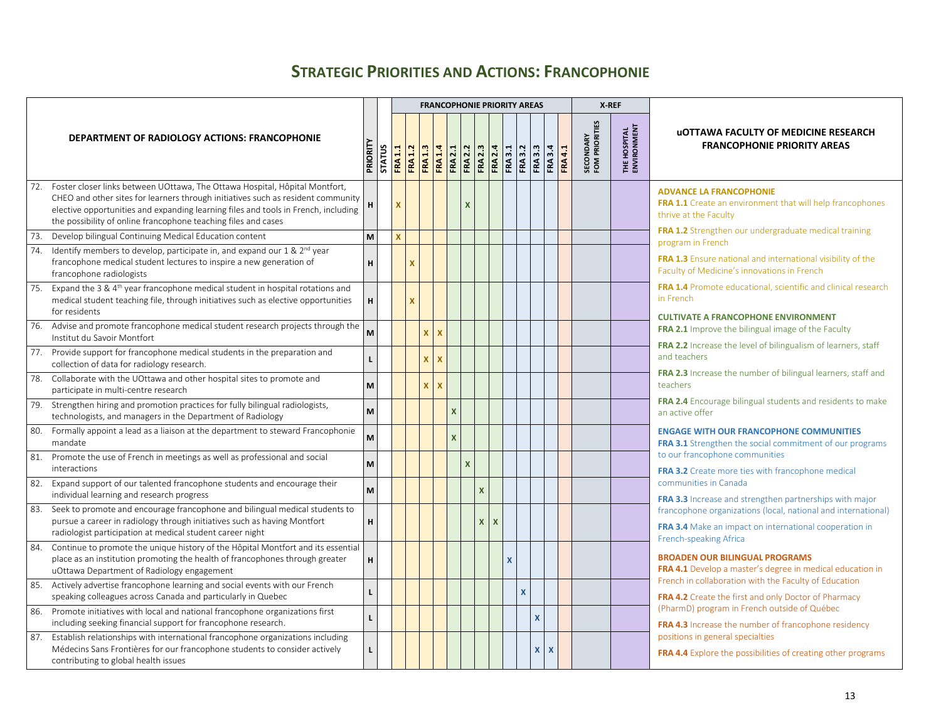## **STRATEGIC PRIORITIES AND ACTIONS: FRANCOPHONIE**

<span id="page-12-0"></span>

|     |                                                                                                                                                                                                                                                                                                                         |              |               |                  |              |              |              |                         | <b>FRANCOPHONIE PRIORITY AREAS</b>                                                                                                                                                                                                                                                                        |          |              |                         |                         |              |                |                                    | X-REF                               |                                                                                                                              |
|-----|-------------------------------------------------------------------------------------------------------------------------------------------------------------------------------------------------------------------------------------------------------------------------------------------------------------------------|--------------|---------------|------------------|--------------|--------------|--------------|-------------------------|-----------------------------------------------------------------------------------------------------------------------------------------------------------------------------------------------------------------------------------------------------------------------------------------------------------|----------|--------------|-------------------------|-------------------------|--------------|----------------|------------------------------------|-------------------------------------|------------------------------------------------------------------------------------------------------------------------------|
|     | <b>DEPARTMENT OF RADIOLOGY ACTIONS: FRANCOPHONIE</b>                                                                                                                                                                                                                                                                    | PRIORITY     | <b>STATUS</b> | 1.1<br><b>RA</b> |              |              |              |                         | $\frac{1}{160}$ $\frac{1}{160}$ $\frac{1}{160}$ $\frac{1}{160}$ $\frac{1}{160}$ $\frac{1}{160}$ $\frac{1}{160}$ $\frac{1}{160}$ $\frac{1}{160}$ $\frac{1}{160}$ $\frac{1}{160}$ $\frac{1}{160}$ $\frac{1}{160}$ $\frac{1}{160}$ $\frac{1}{160}$ $\frac{1}{160}$ $\frac{1}{160}$ $\frac{1}{160}$ $\frac{1$ |          |              |                         |                         |              | <b>FRA 4.1</b> | <b>SECONDARY</b><br>FOM PRIORITIES | <b>THE HOSPITAL<br/>ENVIRONMENT</b> | <b>UOTTAWA FACULTY OF MEDICINE RESEARCH</b><br><b>FRANCOPHONIE PRIORITY AREAS</b>                                            |
| 72. | Foster closer links between UOttawa, The Ottawa Hospital, Hôpital Montfort,<br>CHEO and other sites for learners through initiatives such as resident community<br>elective opportunities and expanding learning files and tools in French, including<br>the possibility of online francophone teaching files and cases | н            |               | <b>X</b>         |              |              |              |                         | <b>X</b>                                                                                                                                                                                                                                                                                                  |          |              |                         |                         |              |                |                                    |                                     | <b>ADVANCE LA FRANCOPHONIE</b><br><b>FRA 1.1</b> Create an environment that will help francophones<br>thrive at the Faculty  |
| 73. | Develop bilingual Continuing Medical Education content                                                                                                                                                                                                                                                                  | M            |               | x                |              |              |              |                         |                                                                                                                                                                                                                                                                                                           |          |              |                         |                         |              |                |                                    |                                     | FRA 1.2 Strengthen our undergraduate medical training<br>program in French                                                   |
|     | 74. Identify members to develop, participate in, and expand our 1 & 2 <sup>nd</sup> year<br>francophone medical student lectures to inspire a new generation of<br>francophone radiologists                                                                                                                             | н            |               |                  | $\mathbf x$  |              |              |                         |                                                                                                                                                                                                                                                                                                           |          |              |                         |                         |              |                |                                    |                                     | <b>FRA 1.3</b> Ensure national and international visibility of the<br>Faculty of Medicine's innovations in French            |
|     | 75. Expand the 3 & 4 <sup>th</sup> year francophone medical student in hospital rotations and<br>medical student teaching file, through initiatives such as elective opportunities<br>for residents                                                                                                                     | н            |               |                  | $\mathbf{x}$ |              |              |                         |                                                                                                                                                                                                                                                                                                           |          |              |                         |                         |              |                |                                    |                                     | <b>FRA 1.4</b> Promote educational, scientific and clinical research<br>in French                                            |
| 76. | Advise and promote francophone medical student research projects through the<br>Institut du Savoir Montfort                                                                                                                                                                                                             | M            |               |                  |              | $\mathsf{x}$ | $\mathbf{x}$ |                         |                                                                                                                                                                                                                                                                                                           |          |              |                         |                         |              |                |                                    |                                     | <b>CULTIVATE A FRANCOPHONE ENVIRONMENT</b><br><b>FRA 2.1</b> Improve the bilingual image of the Faculty                      |
|     | 77. Provide support for francophone medical students in the preparation and<br>collection of data for radiology research.                                                                                                                                                                                               | $\mathbf{I}$ |               |                  |              | x.           | $\mathbf{x}$ |                         |                                                                                                                                                                                                                                                                                                           |          |              |                         |                         |              |                |                                    |                                     | FRA 2.2 Increase the level of bilingualism of learners, staff<br>and teachers                                                |
| 78. | Collaborate with the UOttawa and other hospital sites to promote and<br>participate in multi-centre research                                                                                                                                                                                                            | M            |               |                  |              | $\mathsf{x}$ | $\mathbf{x}$ |                         |                                                                                                                                                                                                                                                                                                           |          |              |                         |                         |              |                |                                    |                                     | FRA 2.3 Increase the number of bilingual learners, staff and<br>teachers                                                     |
|     | 79. Strengthen hiring and promotion practices for fully bilingual radiologists,<br>technologists, and managers in the Department of Radiology                                                                                                                                                                           | M            |               |                  |              |              |              | $\overline{\mathsf{x}}$ |                                                                                                                                                                                                                                                                                                           |          |              |                         |                         |              |                |                                    |                                     | FRA 2.4 Encourage bilingual students and residents to make<br>an active offer                                                |
| 80. | Formally appoint a lead as a liaison at the department to steward Francophonie<br>mandate                                                                                                                                                                                                                               | M            |               |                  |              |              |              | $\overline{\mathsf{x}}$ |                                                                                                                                                                                                                                                                                                           |          |              |                         |                         |              |                |                                    |                                     | <b>ENGAGE WITH OUR FRANCOPHONE COMMUNITIES</b><br><b>FRA 3.1</b> Strengthen the social commitment of our programs            |
|     | 81. Promote the use of French in meetings as well as professional and social<br>interactions                                                                                                                                                                                                                            | M            |               |                  |              |              |              |                         | $\mathbf{x}$                                                                                                                                                                                                                                                                                              |          |              |                         |                         |              |                |                                    |                                     | to our francophone communities<br>FRA 3.2 Create more ties with francophone medical                                          |
|     | 82. Expand support of our talented francophone students and encourage their<br>individual learning and research progress                                                                                                                                                                                                | M            |               |                  |              |              |              |                         |                                                                                                                                                                                                                                                                                                           | X        |              |                         |                         |              |                |                                    |                                     | communities in Canada<br><b>FRA 3.3</b> Increase and strengthen partnerships with major                                      |
| 83. | Seek to promote and encourage francophone and bilingual medical students to<br>pursue a career in radiology through initiatives such as having Montfort<br>radiologist participation at medical student career night                                                                                                    | н            |               |                  |              |              |              |                         |                                                                                                                                                                                                                                                                                                           | <b>X</b> | $\mathsf{x}$ |                         |                         |              |                |                                    |                                     | francophone organizations (local, national and international)<br>FRA 3.4 Make an impact on international cooperation in      |
| 84. | Continue to promote the unique history of the Hôpital Montfort and its essential<br>place as an institution promoting the health of francophones through greater<br>uOttawa Department of Radiology engagement                                                                                                          | н            |               |                  |              |              |              |                         |                                                                                                                                                                                                                                                                                                           |          |              |                         |                         |              |                |                                    |                                     | French-speaking Africa<br><b>BROADEN OUR BILINGUAL PROGRAMS</b><br>FRA 4.1 Develop a master's degree in medical education in |
| 85. | Actively advertise francophone learning and social events with our French<br>speaking colleagues across Canada and particularly in Quebec                                                                                                                                                                               |              |               |                  |              |              |              |                         |                                                                                                                                                                                                                                                                                                           |          |              | $\overline{\mathsf{x}}$ |                         |              |                |                                    |                                     | French in collaboration with the Faculty of Education<br><b>FRA 4.2</b> Create the first and only Doctor of Pharmacy         |
|     | 86. Promote initiatives with local and national francophone organizations first<br>including seeking financial support for francophone research.                                                                                                                                                                        | $\mathbf{L}$ |               |                  |              |              |              |                         |                                                                                                                                                                                                                                                                                                           |          |              |                         | $\overline{\mathbf{x}}$ |              |                |                                    |                                     | (PharmD) program in French outside of Québec<br>FRA 4.3 Increase the number of francophone residency                         |
|     | 87. Establish relationships with international francophone organizations including<br>Médecins Sans Frontières for our francophone students to consider actively<br>contributing to global health issues                                                                                                                | L            |               |                  |              |              |              |                         |                                                                                                                                                                                                                                                                                                           |          |              |                         | X.                      | $\mathbf{x}$ |                |                                    |                                     | positions in general specialties<br><b>FRA 4.4</b> Explore the possibilities of creating other programs                      |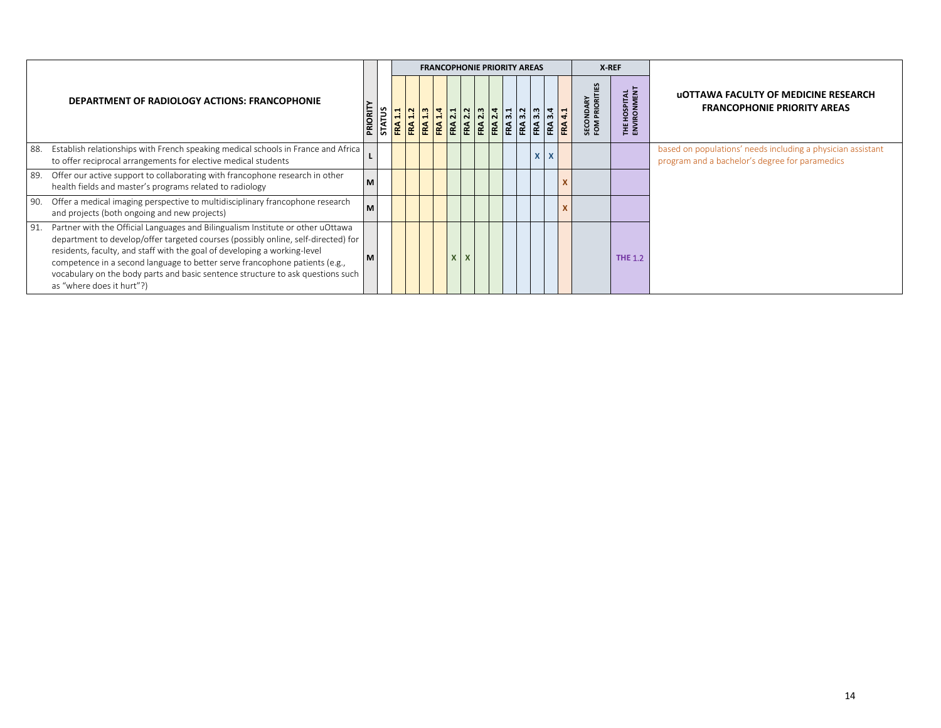|                                                                                                                                                                                                                                                                                                                                                                                                                                                         |         |                          |  |  | <b>FRANCOPHONIE PRIORITY AREAS</b> |  |  |              | X-REF                           |                                  |                                                                                                               |
|---------------------------------------------------------------------------------------------------------------------------------------------------------------------------------------------------------------------------------------------------------------------------------------------------------------------------------------------------------------------------------------------------------------------------------------------------------|---------|--------------------------|--|--|------------------------------------|--|--|--------------|---------------------------------|----------------------------------|---------------------------------------------------------------------------------------------------------------|
| DEPARTMENT OF RADIOLOGY ACTIONS: FRANCOPHONIE                                                                                                                                                                                                                                                                                                                                                                                                           | PRIORIT | <b>STATUS</b><br>FRA 1.1 |  |  |                                    |  |  |              | <b>SECONDARY</b><br>FOM PRIORIT | <b>HOSPITAL</b><br>IRONMENT<br>E | <b>UOTTAWA FACULTY OF MEDICINE RESEARCH</b><br><b>FRANCOPHONIE PRIORITY AREAS</b>                             |
| Establish relationships with French speaking medical schools in France and Africa<br>88.<br>to offer reciprocal arrangements for elective medical students                                                                                                                                                                                                                                                                                              |         |                          |  |  |                                    |  |  | $\mathbf{x}$ |                                 |                                  | based on populations' needs including a physician assistant<br>program and a bachelor's degree for paramedics |
| Offer our active support to collaborating with francophone research in other<br>89.<br>health fields and master's programs related to radiology                                                                                                                                                                                                                                                                                                         |         |                          |  |  |                                    |  |  |              |                                 |                                  |                                                                                                               |
| Offer a medical imaging perspective to multidisciplinary francophone research<br>90.<br>and projects (both ongoing and new projects)                                                                                                                                                                                                                                                                                                                    |         |                          |  |  |                                    |  |  |              |                                 |                                  |                                                                                                               |
| Partner with the Official Languages and Bilingualism Institute or other uOttawa<br>91.<br>department to develop/offer targeted courses (possibly online, self-directed) for<br>residents, faculty, and staff with the goal of developing a working-level<br>competence in a second language to better serve francophone patients (e.g.,<br>vocabulary on the body parts and basic sentence structure to ask questions such<br>as "where does it hurt"?) |         |                          |  |  |                                    |  |  |              |                                 | <b>THE 1.2</b>                   |                                                                                                               |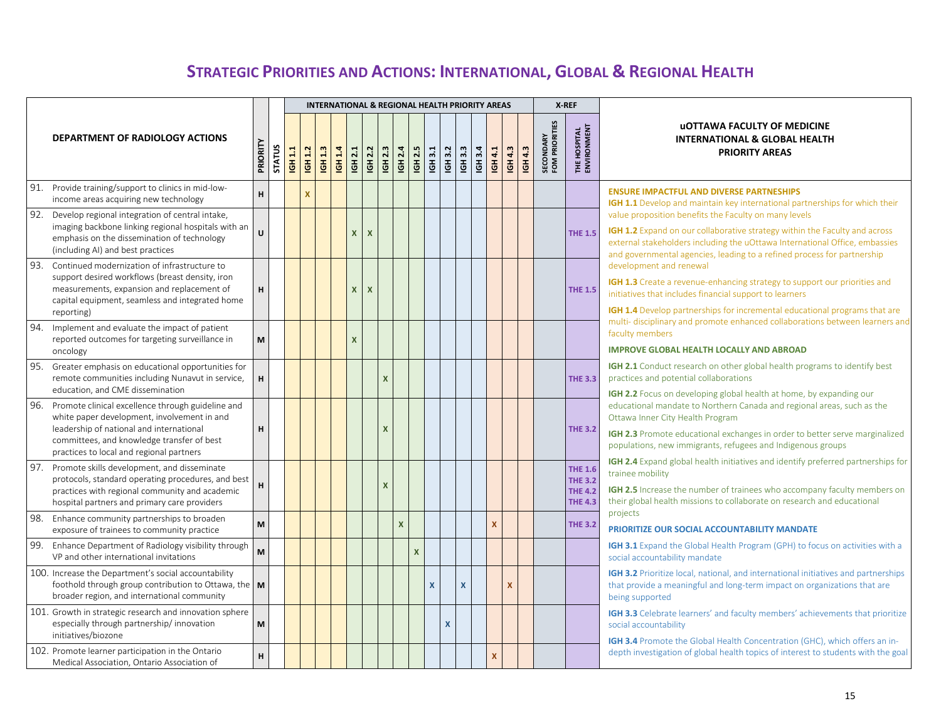# **STRATEGIC PRIORITIES AND ACTIONS: INTERNATIONAL, GLOBAL & REGIONAL HEALTH**

<span id="page-14-0"></span>

|                                                                                                                                                                                                                                            |          |               |         |                |         |                           |                                           |                    |                    |                |              |         |                       | <b>INTERNATIONAL &amp; REGIONAL HEALTH PRIORITY AREAS</b> |              |                |         |                                    | X-REF                                                                |                                                                                                                                                                                                                                                                                                                                 |
|--------------------------------------------------------------------------------------------------------------------------------------------------------------------------------------------------------------------------------------------|----------|---------------|---------|----------------|---------|---------------------------|-------------------------------------------|--------------------|--------------------|----------------|--------------|---------|-----------------------|-----------------------------------------------------------|--------------|----------------|---------|------------------------------------|----------------------------------------------------------------------|---------------------------------------------------------------------------------------------------------------------------------------------------------------------------------------------------------------------------------------------------------------------------------------------------------------------------------|
| <b>DEPARTMENT OF RADIOLOGY ACTIONS</b>                                                                                                                                                                                                     | PRIORITY | <b>STATUS</b> | IGH 1.1 | <b>IGH 1.2</b> | IGH 1.3 | <b>IGH 1.4</b>            | <b>IGH 2.2</b><br>IGH 2.1                 |                    | IGH 2.3<br>IGH 2.4 | IGH 2.5        | IGH 3.1      | IGH 3.2 | 3.3<br>$\overline{5}$ | IGH 3.4                                                   | IGH 4.1      | <b>IGH 4.3</b> | IGH 4.3 | <b>SECONDARY</b><br>FOM PRIORITIES | <b>THE HOSPITAL</b><br>ENVIRONMENT                                   | <b>UOTTAWA FACULTY OF MEDICINE</b><br><b>INTERNATIONAL &amp; GLOBAL HEALTH</b><br><b>PRIORITY AREAS</b>                                                                                                                                                                                                                         |
| 91. Provide training/support to clinics in mid-low-<br>income areas acquiring new technology                                                                                                                                               | H.       |               |         | <b>X</b>       |         |                           |                                           |                    |                    |                |              |         |                       |                                                           |              |                |         |                                    |                                                                      | <b>ENSURE IMPACTFUL AND DIVERSE PARTNESHIPS</b><br>IGH 1.1 Develop and maintain key international partnerships for which their                                                                                                                                                                                                  |
| 92. Develop regional integration of central intake,<br>imaging backbone linking regional hospitals with an<br>emphasis on the dissemination of technology<br>(including AI) and best practices                                             | U        |               |         |                |         |                           | $\boldsymbol{\mathsf{x}}$                 | $\pmb{\mathsf{X}}$ |                    |                |              |         |                       |                                                           |              |                |         |                                    | <b>THE 1.5</b>                                                       | value proposition benefits the Faculty on many levels<br><b>IGH 1.2</b> Expand on our collaborative strategy within the Faculty and across<br>external stakeholders including the uOttawa International Office, embassies<br>and governmental agencies, leading to a refined process for partnership                            |
| 93.<br>Continued modernization of infrastructure to<br>support desired workflows (breast density, iron<br>measurements, expansion and replacement of<br>capital equipment, seamless and integrated home<br>reporting)                      | н        |               |         |                |         |                           | $\mathsf{x}$<br>$\boldsymbol{\mathsf{x}}$ |                    |                    |                |              |         |                       |                                                           |              |                |         |                                    | <b>THE 1.5</b>                                                       | development and renewal<br>IGH 1.3 Create a revenue-enhancing strategy to support our priorities and<br>initiatives that includes financial support to learners<br>IGH 1.4 Develop partnerships for incremental educational programs that are                                                                                   |
| 94. Implement and evaluate the impact of patient<br>reported outcomes for targeting surveillance in<br>oncology                                                                                                                            | M        |               |         |                |         | $\boldsymbol{\mathsf{x}}$ |                                           |                    |                    |                |              |         |                       |                                                           |              |                |         |                                    |                                                                      | multi-disciplinary and promote enhanced collaborations between learners and<br>faculty members<br><b>IMPROVE GLOBAL HEALTH LOCALLY AND ABROAD</b>                                                                                                                                                                               |
| 95. Greater emphasis on educational opportunities for<br>remote communities including Nunavut in service,<br>education, and CME dissemination                                                                                              | н.       |               |         |                |         |                           |                                           |                    | $\mathsf{x}$       |                |              |         |                       |                                                           |              |                |         |                                    | <b>THE 3.3</b>                                                       | <b>IGH 2.1</b> Conduct research on other global health programs to identify best<br>practices and potential collaborations                                                                                                                                                                                                      |
| 96. Promote clinical excellence through guideline and<br>white paper development, involvement in and<br>leadership of national and international<br>committees, and knowledge transfer of best<br>practices to local and regional partners | н        |               |         |                |         |                           |                                           |                    | $\mathsf{x}$       |                |              |         |                       |                                                           |              |                |         |                                    | <b>THE 3.2</b>                                                       | IGH 2.2 Focus on developing global health at home, by expanding our<br>educational mandate to Northern Canada and regional areas, such as the<br>Ottawa Inner City Health Program<br>IGH 2.3 Promote educational exchanges in order to better serve marginalized<br>populations, new immigrants, refugees and Indigenous groups |
| 97. Promote skills development, and disseminate<br>protocols, standard operating procedures, and best<br>practices with regional community and academic<br>hospital partners and primary care providers                                    | н        |               |         |                |         |                           |                                           |                    | $\mathsf{x}$       |                |              |         |                       |                                                           |              |                |         |                                    | <b>THE 1.6</b><br><b>THE 3.2</b><br><b>THE 4.2</b><br><b>THE 4.3</b> | IGH 2.4 Expand global health initiatives and identify preferred partnerships for<br>trainee mobility<br>IGH 2.5 Increase the number of trainees who accompany faculty members on<br>their global health missions to collaborate on research and educational                                                                     |
| 98. Enhance community partnerships to broaden<br>exposure of trainees to community practice                                                                                                                                                | M        |               |         |                |         |                           |                                           |                    | $\mathsf{x}$       |                |              |         |                       |                                                           | X            |                |         |                                    | <b>THE 3.2</b>                                                       | projects<br><b>PRIORITIZE OUR SOCIAL ACCOUNTABILITY MANDATE</b>                                                                                                                                                                                                                                                                 |
| 99. Enhance Department of Radiology visibility through<br>VP and other international invitations                                                                                                                                           | M        |               |         |                |         |                           |                                           |                    |                    | $\pmb{\times}$ |              |         |                       |                                                           |              |                |         |                                    |                                                                      | <b>IGH 3.1</b> Expand the Global Health Program (GPH) to focus on activities with a<br>social accountability mandate                                                                                                                                                                                                            |
| 100. Increase the Department's social accountability<br>foothold through group contribution to Ottawa, the $\vert$ M<br>broader region, and international community                                                                        |          |               |         |                |         |                           |                                           |                    |                    |                | $\mathbf{x}$ |         | $\mathbf{x}$          |                                                           |              | $\mathbf{x}$   |         |                                    |                                                                      | IGH 3.2 Prioritize local, national, and international initiatives and partnerships<br>that provide a meaningful and long-term impact on organizations that are<br>being supported                                                                                                                                               |
| 101. Growth in strategic research and innovation sphere<br>especially through partnership/innovation<br>initiatives/biozone                                                                                                                | M        |               |         |                |         |                           |                                           |                    |                    |                |              | X       |                       |                                                           |              |                |         |                                    |                                                                      | <b>IGH 3.3</b> Celebrate learners' and faculty members' achievements that prioritize<br>social accountability<br><b>IGH 3.4</b> Promote the Global Health Concentration (GHC), which offers an in-                                                                                                                              |
| 102. Promote learner participation in the Ontario<br>Medical Association, Ontario Association of                                                                                                                                           | H.       |               |         |                |         |                           |                                           |                    |                    |                |              |         |                       |                                                           | $\mathbf{x}$ |                |         |                                    |                                                                      | depth investigation of global health topics of interest to students with the goal                                                                                                                                                                                                                                               |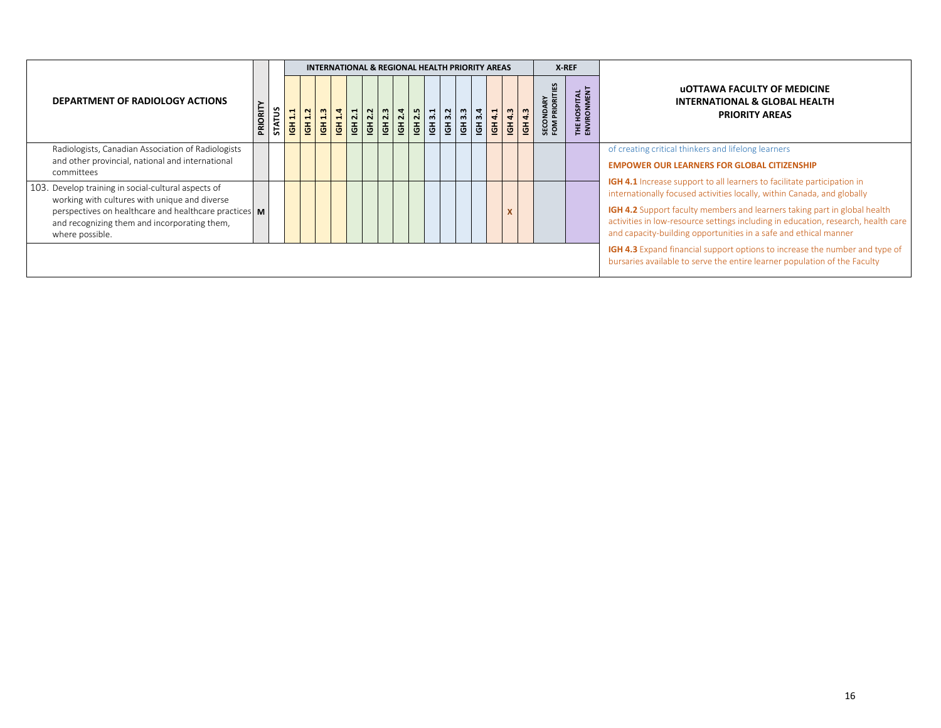|                                                                                                                                                                                                                                    |         |               |                                                                    |                          |  |  | INTERNATIONAL & REGIONAL HEALTH PRIORITY AREAS |  |  |  |                        |                                 | X-REF                              |                                                                                                                                                                                                                                                                                                                                                                                                        |
|------------------------------------------------------------------------------------------------------------------------------------------------------------------------------------------------------------------------------------|---------|---------------|--------------------------------------------------------------------|--------------------------|--|--|------------------------------------------------|--|--|--|------------------------|---------------------------------|------------------------------------|--------------------------------------------------------------------------------------------------------------------------------------------------------------------------------------------------------------------------------------------------------------------------------------------------------------------------------------------------------------------------------------------------------|
| DEPARTMENT OF RADIOLOGY ACTIONS                                                                                                                                                                                                    | PRIORIT | <b>STATUS</b> | $\blacksquare$<br>$\vec{a}$<br>$\overline{\underline{\mathbb{G}}}$ | $\sim$<br>$\overline{5}$ |  |  |                                                |  |  |  | $\frac{1614.3}{614.3}$ | <b>SECONDARY</b><br>FOM PRIORIT | <b>THE HOSPITAL</b><br>ENVIRONMENT | <b>UOTTAWA FACULTY OF MEDICINE</b><br><b>INTERNATIONAL &amp; GLOBAL HEALTH</b><br><b>PRIORITY AREAS</b>                                                                                                                                                                                                                                                                                                |
| Radiologists, Canadian Association of Radiologists<br>and other provincial, national and international<br>committees                                                                                                               |         |               |                                                                    |                          |  |  |                                                |  |  |  |                        |                                 |                                    | of creating critical thinkers and lifelong learners<br><b>EMPOWER OUR LEARNERS FOR GLOBAL CITIZENSHIP</b>                                                                                                                                                                                                                                                                                              |
| 103. Develop training in social-cultural aspects of<br>working with cultures with unique and diverse<br>perspectives on healthcare and healthcare practices   M<br>and recognizing them and incorporating them,<br>where possible. |         |               |                                                                    |                          |  |  |                                                |  |  |  |                        |                                 |                                    | <b>IGH 4.1</b> Increase support to all learners to facilitate participation in<br>internationally focused activities locally, within Canada, and globally<br><b>IGH 4.2</b> Support faculty members and learners taking part in global health<br>activities in low-resource settings including in education, research, health care<br>and capacity-building opportunities in a safe and ethical manner |
|                                                                                                                                                                                                                                    |         |               |                                                                    |                          |  |  |                                                |  |  |  |                        |                                 |                                    | <b>IGH 4.3</b> Expand financial support options to increase the number and type of<br>bursaries available to serve the entire learner population of the Faculty                                                                                                                                                                                                                                        |